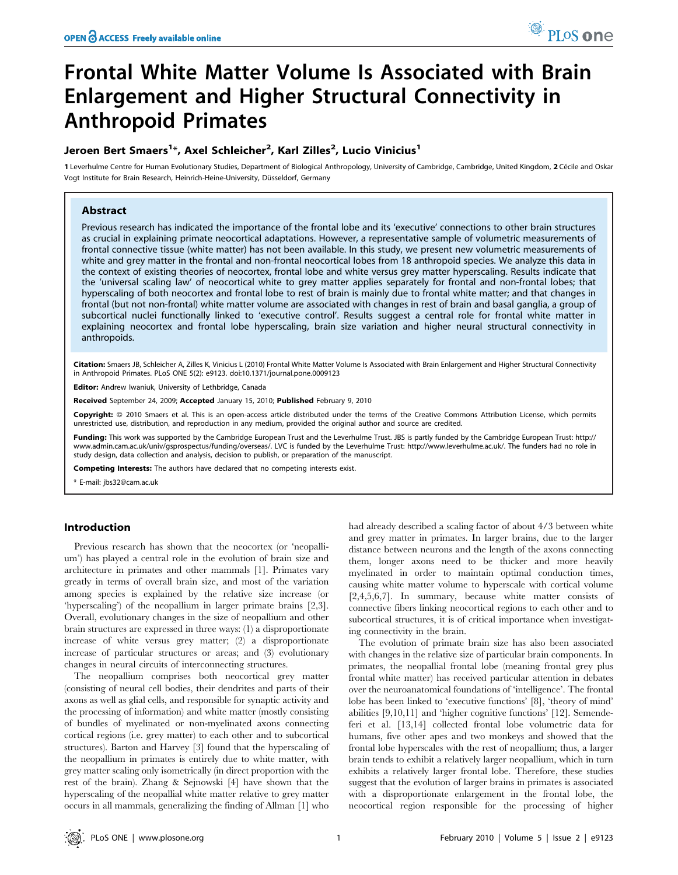# Frontal White Matter Volume Is Associated with Brain Enlargement and Higher Structural Connectivity in Anthropoid Primates

# Jeroen Bert Smaers<sup>1</sup>\*, Axel Schleicher<sup>2</sup>, Karl Zilles<sup>2</sup>, Lucio Vinicius<sup>1</sup>

1 Leverhulme Centre for Human Evolutionary Studies, Department of Biological Anthropology, University of Cambridge, Cambridge, United Kingdom, 2 Cécile and Oskar Vogt Institute for Brain Research, Heinrich-Heine-University, Düsseldorf, Germany

## Abstract

Previous research has indicated the importance of the frontal lobe and its 'executive' connections to other brain structures as crucial in explaining primate neocortical adaptations. However, a representative sample of volumetric measurements of frontal connective tissue (white matter) has not been available. In this study, we present new volumetric measurements of white and grey matter in the frontal and non-frontal neocortical lobes from 18 anthropoid species. We analyze this data in the context of existing theories of neocortex, frontal lobe and white versus grey matter hyperscaling. Results indicate that the 'universal scaling law' of neocortical white to grey matter applies separately for frontal and non-frontal lobes; that hyperscaling of both neocortex and frontal lobe to rest of brain is mainly due to frontal white matter; and that changes in frontal (but not non-frontal) white matter volume are associated with changes in rest of brain and basal ganglia, a group of subcortical nuclei functionally linked to 'executive control'. Results suggest a central role for frontal white matter in explaining neocortex and frontal lobe hyperscaling, brain size variation and higher neural structural connectivity in anthropoids.

Citation: Smaers JB, Schleicher A, Zilles K, Vinicius L (2010) Frontal White Matter Volume Is Associated with Brain Enlargement and Higher Structural Connectivity in Anthropoid Primates. PLoS ONE 5(2): e9123. doi:10.1371/journal.pone.0009123

Editor: Andrew Iwaniuk, University of Lethbridge, Canada

Received September 24, 2009; Accepted January 15, 2010; Published February 9, 2010

Copyright: © 2010 Smaers et al. This is an open-access article distributed under the terms of the Creative Commons Attribution License, which permits unrestricted use, distribution, and reproduction in any medium, provided the original author and source are credited.

Funding: This work was supported by the Cambridge European Trust and the Leverhulme Trust. JBS is partly funded by the Cambridge European Trust: http:// www.admin.cam.ac.uk/univ/gsprospectus/funding/overseas/. LVC is funded by the Leverhulme Trust: http://www.leverhulme.ac.uk/. The funders had no role in study design, data collection and analysis, decision to publish, or preparation of the manuscript.

Competing Interests: The authors have declared that no competing interests exist.

\* E-mail: jbs32@cam.ac.uk

#### Introduction

Previous research has shown that the neocortex (or 'neopallium') has played a central role in the evolution of brain size and architecture in primates and other mammals [1]. Primates vary greatly in terms of overall brain size, and most of the variation among species is explained by the relative size increase (or 'hyperscaling') of the neopallium in larger primate brains [2,3]. Overall, evolutionary changes in the size of neopallium and other brain structures are expressed in three ways: (1) a disproportionate increase of white versus grey matter; (2) a disproportionate increase of particular structures or areas; and (3) evolutionary changes in neural circuits of interconnecting structures.

The neopallium comprises both neocortical grey matter (consisting of neural cell bodies, their dendrites and parts of their axons as well as glial cells, and responsible for synaptic activity and the processing of information) and white matter (mostly consisting of bundles of myelinated or non-myelinated axons connecting cortical regions (i.e. grey matter) to each other and to subcortical structures). Barton and Harvey [3] found that the hyperscaling of the neopallium in primates is entirely due to white matter, with grey matter scaling only isometrically (in direct proportion with the rest of the brain). Zhang & Sejnowski [4] have shown that the hyperscaling of the neopallial white matter relative to grey matter occurs in all mammals, generalizing the finding of Allman [1] who

had already described a scaling factor of about 4/3 between white and grey matter in primates. In larger brains, due to the larger distance between neurons and the length of the axons connecting them, longer axons need to be thicker and more heavily myelinated in order to maintain optimal conduction times, causing white matter volume to hyperscale with cortical volume [2,4,5,6,7]. In summary, because white matter consists of connective fibers linking neocortical regions to each other and to subcortical structures, it is of critical importance when investigating connectivity in the brain.

The evolution of primate brain size has also been associated with changes in the relative size of particular brain components. In primates, the neopallial frontal lobe (meaning frontal grey plus frontal white matter) has received particular attention in debates over the neuroanatomical foundations of 'intelligence'. The frontal lobe has been linked to 'executive functions' [8], 'theory of mind' abilities [9,10,11] and 'higher cognitive functions' [12]. Semendeferi et al. [13,14] collected frontal lobe volumetric data for humans, five other apes and two monkeys and showed that the frontal lobe hyperscales with the rest of neopallium; thus, a larger brain tends to exhibit a relatively larger neopallium, which in turn exhibits a relatively larger frontal lobe. Therefore, these studies suggest that the evolution of larger brains in primates is associated with a disproportionate enlargement in the frontal lobe, the neocortical region responsible for the processing of higher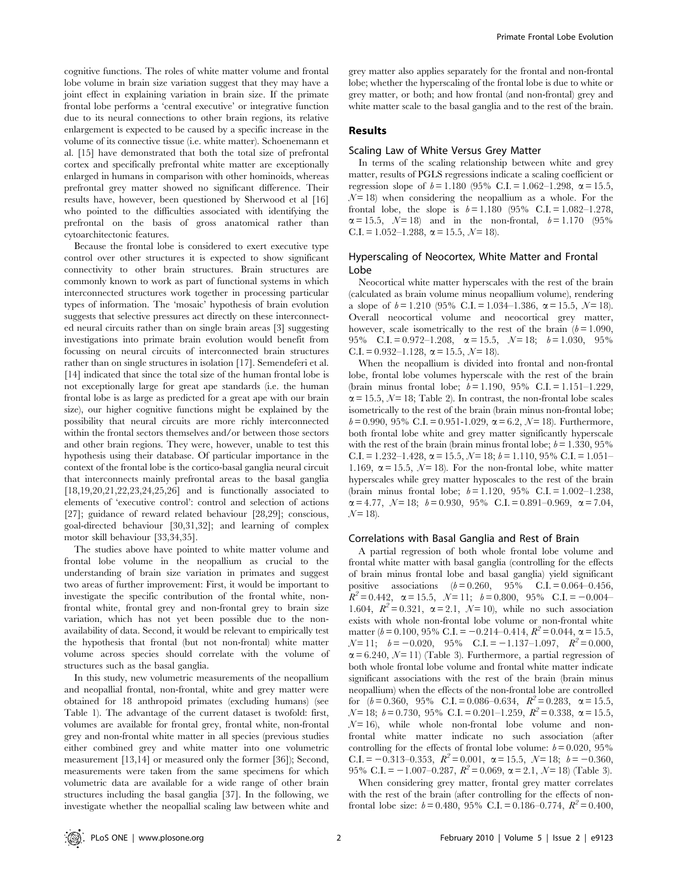cognitive functions. The roles of white matter volume and frontal lobe volume in brain size variation suggest that they may have a joint effect in explaining variation in brain size. If the primate frontal lobe performs a 'central executive' or integrative function due to its neural connections to other brain regions, its relative enlargement is expected to be caused by a specific increase in the volume of its connective tissue (i.e. white matter). Schoenemann et al. [15] have demonstrated that both the total size of prefrontal cortex and specifically prefrontal white matter are exceptionally enlarged in humans in comparison with other hominoids, whereas prefrontal grey matter showed no significant difference. Their results have, however, been questioned by Sherwood et al [16] who pointed to the difficulties associated with identifying the prefrontal on the basis of gross anatomical rather than cytoarchitectonic features.

Because the frontal lobe is considered to exert executive type control over other structures it is expected to show significant connectivity to other brain structures. Brain structures are commonly known to work as part of functional systems in which interconnected structures work together in processing particular types of information. The 'mosaic' hypothesis of brain evolution suggests that selective pressures act directly on these interconnected neural circuits rather than on single brain areas [3] suggesting investigations into primate brain evolution would benefit from focussing on neural circuits of interconnected brain structures rather than on single structures in isolation [17]. Semendeferi et al. [14] indicated that since the total size of the human frontal lobe is not exceptionally large for great ape standards (i.e. the human frontal lobe is as large as predicted for a great ape with our brain size), our higher cognitive functions might be explained by the possibility that neural circuits are more richly interconnected within the frontal sectors themselves and/or between those sectors and other brain regions. They were, however, unable to test this hypothesis using their database. Of particular importance in the context of the frontal lobe is the cortico-basal ganglia neural circuit that interconnects mainly prefrontal areas to the basal ganglia [18,19,20,21,22,23,24,25,26] and is functionally associated to elements of 'executive control': control and selection of actions [27]; guidance of reward related behaviour [28,29]; conscious, goal-directed behaviour [30,31,32]; and learning of complex motor skill behaviour [33,34,35].

The studies above have pointed to white matter volume and frontal lobe volume in the neopallium as crucial to the understanding of brain size variation in primates and suggest two areas of further improvement: First, it would be important to investigate the specific contribution of the frontal white, nonfrontal white, frontal grey and non-frontal grey to brain size variation, which has not yet been possible due to the nonavailability of data. Second, it would be relevant to empirically test the hypothesis that frontal (but not non-frontal) white matter volume across species should correlate with the volume of structures such as the basal ganglia.

In this study, new volumetric measurements of the neopallium and neopallial frontal, non-frontal, white and grey matter were obtained for 18 anthropoid primates (excluding humans) (see Table 1). The advantage of the current dataset is twofold: first, volumes are available for frontal grey, frontal white, non-frontal grey and non-frontal white matter in all species (previous studies either combined grey and white matter into one volumetric measurement [13,14] or measured only the former [36]); Second, measurements were taken from the same specimens for which volumetric data are available for a wide range of other brain structures including the basal ganglia [37]. In the following, we investigate whether the neopallial scaling law between white and grey matter also applies separately for the frontal and non-frontal lobe; whether the hyperscaling of the frontal lobe is due to white or grey matter, or both; and how frontal (and non-frontal) grey and white matter scale to the basal ganglia and to the rest of the brain.

### Results

#### Scaling Law of White Versus Grey Matter

In terms of the scaling relationship between white and grey matter, results of PGLS regressions indicate a scaling coefficient or regression slope of  $b = 1.180$  (95% C.I. = 1.062-1.298,  $\alpha = 15.5$ ,  $N = 18$ ) when considering the neopallium as a whole. For the frontal lobe, the slope is  $b = 1.180$  (95% C.I. = 1.082–1.278,  $\alpha = 15.5, \quad N = 18$ ) and in the non-frontal,  $b = 1.170$  (95%) C.I. = 1.052–1.288,  $\alpha$  = 15.5,  $\mathcal{N}$  = 18).

### Hyperscaling of Neocortex, White Matter and Frontal Lobe

Neocortical white matter hyperscales with the rest of the brain (calculated as brain volume minus neopallium volume), rendering a slope of  $b = 1.210$  (95% C.I. = 1.034–1.386,  $\alpha = 15.5$ ,  $\mathcal{N} = 18$ ). Overall neocortical volume and neocortical grey matter, however, scale isometrically to the rest of the brain  $(b = 1.090,$ 95% C.I. = 0.972-1.208,  $\alpha = 15.5$ ,  $\mathcal{N} = 18$ ;  $b = 1.030$ , 95% C.I. = 0.932–1.128,  $\alpha$  = 15.5,  $\mathcal{N}$  = 18).

When the neopallium is divided into frontal and non-frontal lobe, frontal lobe volumes hyperscale with the rest of the brain (brain minus frontal lobe;  $b = 1.190$ ,  $95\%$  C.I. = 1.151–1.229,  $\alpha$  = 15.5, N = 18; Table 2). In contrast, the non-frontal lobe scales isometrically to the rest of the brain (brain minus non-frontal lobe;  $b= 0.990, 95\% \text{ C.I.} = 0.951-1.029, \ \alpha = 6.2, \ \mathcal{N} = 18$ ). Furthermore, both frontal lobe white and grey matter significantly hyperscale with the rest of the brain (brain minus frontal lobe;  $b = 1.330, 95\%$ C.I. = 1.232–1.428,  $\alpha$  = 15.5,  $\mathcal{N}$  = 18;  $b$  = 1.110, 95% C.I. = 1.051– 1.169,  $\alpha$  = 15.5, N = 18). For the non-frontal lobe, white matter hyperscales while grey matter hyposcales to the rest of the brain (brain minus frontal lobe;  $b = 1.120$ , 95% C.I. = 1.002-1.238,  $\alpha = 4.77, \ \mathcal{N} = 18; \ \mathcal{b} = 0.930, \ \ 95\% \ \ \text{C.I.} = 0.891 - 0.969, \ \ \alpha = 7.04,$  $N = 18$ .

#### Correlations with Basal Ganglia and Rest of Brain

A partial regression of both whole frontal lobe volume and frontal white matter with basal ganglia (controlling for the effects of brain minus frontal lobe and basal ganglia) yield significant positive associations  $(b = 0.260, 95\%$  C.I. = 0.064–0.456,  $R^2 = 0.442$ ,  $\alpha = 15.5$ ,  $N = 11$ ;  $b = 0.800$ ,  $95\%$  C.I. = -0.004-1.604,  $R^2 = 0.321$ ,  $\alpha = 2.1$ ,  $N = 10$ ), while no such association exists with whole non-frontal lobe volume or non-frontal white matter ( $b = 0.100$ , 95% C.I. = -0.214–0.414,  $R^2 = 0.044$ ,  $\alpha = 15.5$ ,  $N=11$ ;  $b=-0.020$ , 95% C.I. = -1.137-1.097,  $R^2=0.000$ ,  $\alpha$  = 6.240, N = 11) (Table 3). Furthermore, a partial regression of both whole frontal lobe volume and frontal white matter indicate significant associations with the rest of the brain (brain minus neopallium) when the effects of the non-frontal lobe are controlled for  $(b = 0.360, 95\% \text{ C.I.} = 0.086 - 0.634, R^2 = 0.283, \alpha = 15.5,$  $N = 18$ ;  $b = 0.730$ , 95% C.I. = 0.201–1.259,  $R^2 = 0.338$ ,  $\alpha = 15.5$ ,  $N = 16$ ), while whole non-frontal lobe volume and nonfrontal white matter indicate no such association (after controlling for the effects of frontal lobe volume:  $b = 0.020, 95\%$ C.I.  $= -0.313 - 0.353$ ,  $R^2 = 0.001$ ,  $\alpha = 15.5$ ,  $\mathcal{N} = 18$ ;  $b = -0.360$ , 95% C.I. =  $-1.007-0.287$ ,  $R^2 = 0.069$ ,  $\alpha = 2.1$ ,  $\mathcal{N} = 18$ ) (Table 3).

When considering grey matter, frontal grey matter correlates with the rest of the brain (after controlling for the effects of nonfrontal lobe size:  $b = 0.480$ , 95% C.I. = 0.186–0.774,  $R^2 = 0.400$ ,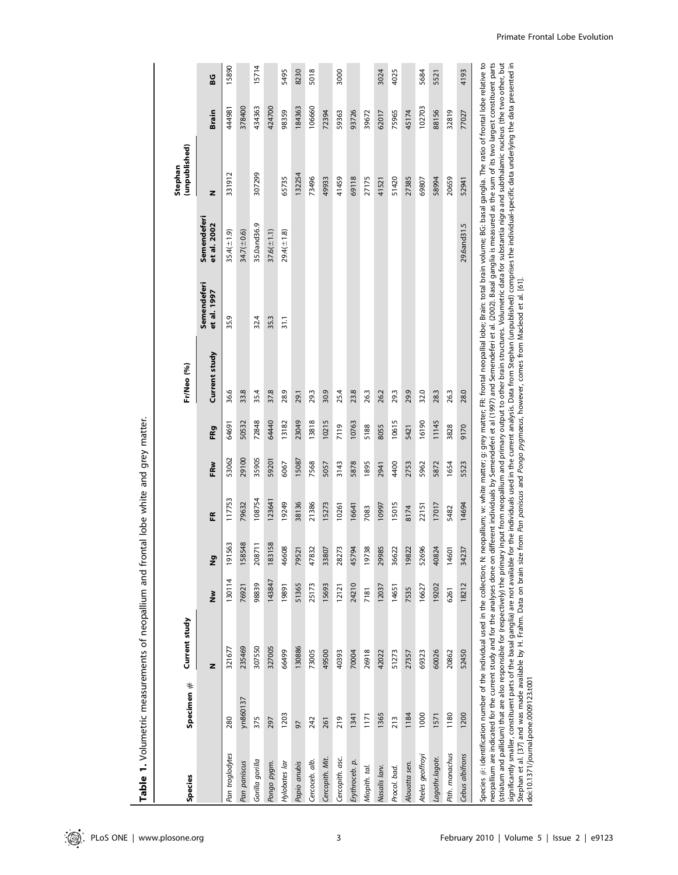| Species                               | Specimen # | Current study                                                                                                                                                    |                     |                    |        |       |       | Fr/Neo (%)                                                                                                                                                                                                                                                                                                                                                                                                                                                                                                                                                                                                                                                                                                                                                                                                                                                                                                                                                  |                            |                            | (unpublished)<br>Stephan |        |       |
|---------------------------------------|------------|------------------------------------------------------------------------------------------------------------------------------------------------------------------|---------------------|--------------------|--------|-------|-------|-------------------------------------------------------------------------------------------------------------------------------------------------------------------------------------------------------------------------------------------------------------------------------------------------------------------------------------------------------------------------------------------------------------------------------------------------------------------------------------------------------------------------------------------------------------------------------------------------------------------------------------------------------------------------------------------------------------------------------------------------------------------------------------------------------------------------------------------------------------------------------------------------------------------------------------------------------------|----------------------------|----------------------------|--------------------------|--------|-------|
|                                       |            | z                                                                                                                                                                | $\tilde{\tilde{z}}$ | Σō                 | ER     | FRw   | FRg   | Current study                                                                                                                                                                                                                                                                                                                                                                                                                                                                                                                                                                                                                                                                                                                                                                                                                                                                                                                                               | Semendeferi<br>et al. 1997 | Semendeferi<br>et al. 2002 | z                        | Brain  | ន្ធ   |
| Pan troglodytes                       | 280        | 321677                                                                                                                                                           | 130114              | 1563<br><u>َمِ</u> | 117753 | 53062 | 64691 | 36.6                                                                                                                                                                                                                                                                                                                                                                                                                                                                                                                                                                                                                                                                                                                                                                                                                                                                                                                                                        | 35.9                       | $35.4(\pm 1.9)$            | 331912                   | 186444 | 15890 |
| Pan paniscus                          | yn860137   | 235469                                                                                                                                                           | 76921               | 158548             | 79632  | 29100 | 50532 | 33.8                                                                                                                                                                                                                                                                                                                                                                                                                                                                                                                                                                                                                                                                                                                                                                                                                                                                                                                                                        |                            | 34.7( $\pm$ 0.6)           |                          | 378400 |       |
| Gorilla gorilla                       | 375        | 307550                                                                                                                                                           | 98839               | 208711             | 108754 | 35905 | 72848 | 35.4                                                                                                                                                                                                                                                                                                                                                                                                                                                                                                                                                                                                                                                                                                                                                                                                                                                                                                                                                        | 32.4                       | 35.0and36.9                | 307299                   | 434363 | 15714 |
| Pongo pygm.                           | 297        | 327005                                                                                                                                                           | 143847              | 183158             | 123641 | 59201 | 64440 | 37.8                                                                                                                                                                                                                                                                                                                                                                                                                                                                                                                                                                                                                                                                                                                                                                                                                                                                                                                                                        | 35.3                       | $37.6(\pm 1.1)$            |                          | 424700 |       |
| Hylobates lar                         | 1203       | 66499                                                                                                                                                            | 19891               | 46608              | 19249  | 6067  | 13182 | 28.9                                                                                                                                                                                                                                                                                                                                                                                                                                                                                                                                                                                                                                                                                                                                                                                                                                                                                                                                                        | 31.1                       | $29.4(\pm 1.8)$            | 65735                    | 98359  | 5495  |
| Papio anubis                          | 50         | 130886                                                                                                                                                           | 51365               | 79521              | 38136  | 15087 | 23049 | 29.1                                                                                                                                                                                                                                                                                                                                                                                                                                                                                                                                                                                                                                                                                                                                                                                                                                                                                                                                                        |                            |                            | 132254                   | 184363 | 8230  |
| Cercoceb. alb.                        | 242        | 73005                                                                                                                                                            | 25173               | 47832              | 21386  | 7568  | 13818 | 29.3                                                                                                                                                                                                                                                                                                                                                                                                                                                                                                                                                                                                                                                                                                                                                                                                                                                                                                                                                        |                            |                            | 73496                    | 106660 | 5018  |
| Cercopith. Mit.                       | 261        | 49500                                                                                                                                                            | 15693               | 33807              | 15273  | 5057  | 10215 | 30.9                                                                                                                                                                                                                                                                                                                                                                                                                                                                                                                                                                                                                                                                                                                                                                                                                                                                                                                                                        |                            |                            | 49933                    | 72394  |       |
| Cercopith. asc.                       | 219        | 40393                                                                                                                                                            | 12121               | 28273              | 10261  | 3143  | 7119  | 25.4                                                                                                                                                                                                                                                                                                                                                                                                                                                                                                                                                                                                                                                                                                                                                                                                                                                                                                                                                        |                            |                            | 41459                    | 59363  | 3000  |
| Erythroceb. p.                        | 1341       | 70004                                                                                                                                                            | 24210               | 794<br>457         | 16641  | 5878  | 10763 | 23.8                                                                                                                                                                                                                                                                                                                                                                                                                                                                                                                                                                                                                                                                                                                                                                                                                                                                                                                                                        |                            |                            | 69118                    | 93726  |       |
| Miopith. tal.                         | 1171       | 26918                                                                                                                                                            | 7181                | 738<br>ë           | 7083   | 1895  | 5188  | 26.3                                                                                                                                                                                                                                                                                                                                                                                                                                                                                                                                                                                                                                                                                                                                                                                                                                                                                                                                                        |                            |                            | 27175                    | 39672  |       |
| Nasalis Iarv.                         | 1365       | 42022                                                                                                                                                            | 12037               | 29985              | 10997  | 2941  | 8055  | 26.2                                                                                                                                                                                                                                                                                                                                                                                                                                                                                                                                                                                                                                                                                                                                                                                                                                                                                                                                                        |                            |                            | 41521                    | 62017  | 3024  |
| Procol. bad.                          | 213        | 51273                                                                                                                                                            | 14651               | 36622              | 15015  | 4400  | 10615 | 29.3                                                                                                                                                                                                                                                                                                                                                                                                                                                                                                                                                                                                                                                                                                                                                                                                                                                                                                                                                        |                            |                            | 51420                    | 75965  | 4025  |
| Alouatta sen.                         | 1184       | 27357                                                                                                                                                            | 7535                | 19822              | 8174   | 2753  | 5421  | 29.9                                                                                                                                                                                                                                                                                                                                                                                                                                                                                                                                                                                                                                                                                                                                                                                                                                                                                                                                                        |                            |                            | 27385                    | 45174  |       |
| Ateles geoffroyi                      | 1000       | 69323                                                                                                                                                            | 16627               | 52696              | 22151  | 5962  | 16190 | 32.0                                                                                                                                                                                                                                                                                                                                                                                                                                                                                                                                                                                                                                                                                                                                                                                                                                                                                                                                                        |                            |                            | 69807                    | 102703 | 5684  |
| Lagothr.lagotr.                       | 1571       | 60026                                                                                                                                                            | 19202               | 40824              | 17017  | 5872  | 11145 | 28.3                                                                                                                                                                                                                                                                                                                                                                                                                                                                                                                                                                                                                                                                                                                                                                                                                                                                                                                                                        |                            |                            | 58994                    | 88156  | 5521  |
| Pith. monachus                        | 1180       | 20862                                                                                                                                                            | 6261                | 14601              | 5482   | 1654  | 3828  | 26.3                                                                                                                                                                                                                                                                                                                                                                                                                                                                                                                                                                                                                                                                                                                                                                                                                                                                                                                                                        |                            |                            | 20659                    | 32819  |       |
| Cebus albifrons                       | 1200       | 52450                                                                                                                                                            | 18212               | 34237              | 14694  | 5523  | 9170  | 28.0                                                                                                                                                                                                                                                                                                                                                                                                                                                                                                                                                                                                                                                                                                                                                                                                                                                                                                                                                        |                            | 29.6and31.5                | 52941                    | 77027  | 4193  |
| doi:10.1371/journal.pone.0009123.t001 |            | Species $\#$ : identification number of the individual used in the collection; N:<br>neopallium are indicated for the current study and for the analyses done on |                     |                    |        |       |       | different individuals by Semendeferi et al (1997) and Semendeferi et al. (2002). Basal ganglia is measured as the sum of its two largest constituent parts<br>striatum and pallidum) that are also responsible for (respectively) the primary input from neopallium and primary output to other brain structures. Volumetric data for substantia nigra and subthalamic nucleus (the two othe<br>neopallium; w: white matter; g: grey matter; FR: frontal neopallial lobe; Brain: total brain volume; BG: basal ganglia. The ratio of frontal lobe relative to<br>significantly smaller, constituent parts of the basal ganglia) are not available for the individuals used in the current analysis. Data from Stephan (unpublished) comprises the individual-specific data underlying the data<br>Stephan et al. [37] and was made available by H. Frahm. Data on brain size from Pan paniscus and Pongo pygmaeus, however, comes from Macleod et al. [61]. |                            |                            |                          |        |       |

Table 1. Volumetric measurements of neopallium and frontal lobe white and grey matter. Table 1. Volumetric measurements of neopallium and frontal lobe white and grey matter.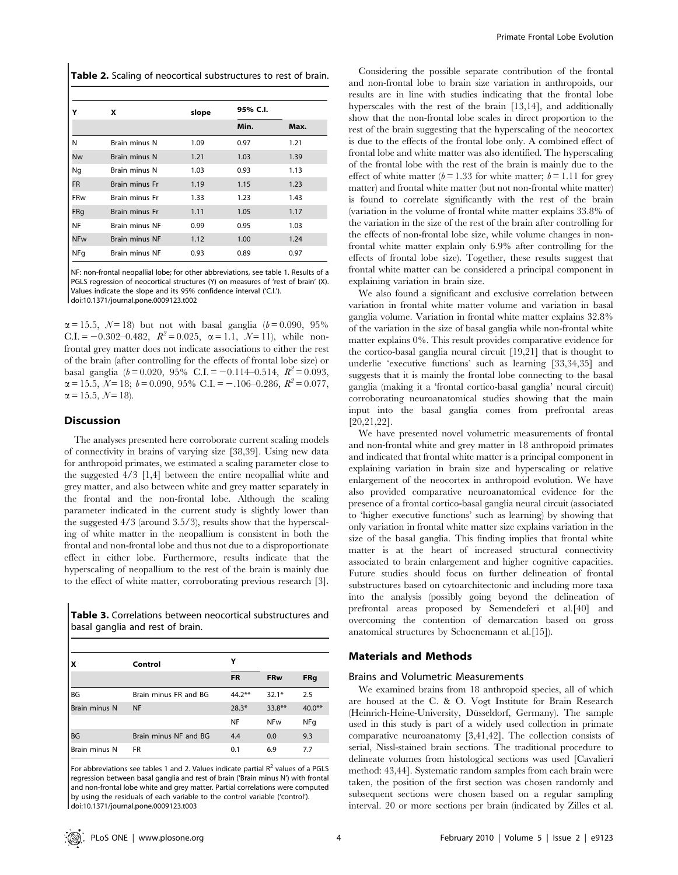| Table 2. Scaling of neocortical substructures to rest of brain. |  |
|-----------------------------------------------------------------|--|
|-----------------------------------------------------------------|--|

|            | x                     | slope | 95% C.I. |      |
|------------|-----------------------|-------|----------|------|
|            |                       |       | Min.     | Max. |
| N          | Brain minus N         | 1.09  | 0.97     | 1.21 |
| Nw         | Brain minus N         | 1.21  | 1.03     | 1.39 |
| Ng         | Brain minus N         | 1.03  | 0.93     | 1.13 |
| <b>FR</b>  | <b>Brain minus Fr</b> | 1.19  | 1.15     | 1.23 |
| <b>FRw</b> | Brain minus Fr        | 1.33  | 1.23     | 1.43 |
| FRq        | Brain minus Fr        | 1.11  | 1.05     | 1.17 |
| NF         | <b>Brain minus NF</b> | 0.99  | 0.95     | 1.03 |
| <b>NFw</b> | <b>Brain minus NF</b> | 1.12  | 1.00     | 1.24 |
| NFq        | <b>Brain minus NF</b> | 0.93  | 0.89     | 0.97 |

NF: non-frontal neopallial lobe; for other abbreviations, see table 1. Results of a PGLS regression of neocortical structures (Y) on measures of 'rest of brain' (X). Values indicate the slope and its 95% confidence interval ('C.I.'). doi:10.1371/journal.pone.0009123.t002

 $\alpha = 15.5, \ N = 18$ ) but not with basal ganglia ( $b = 0.090, 95\%$ C.I. = -0.302-0.482,  $R^2 = 0.025$ ,  $\alpha = 1.1$ ,  $N = 11$ ), while nonfrontal grey matter does not indicate associations to either the rest of the brain (after controlling for the effects of frontal lobe size) or basal ganglia ( $b = 0.020$ , 95% C.I. = -0.114–0.514,  $R^2 = 0.093$ ,  $\alpha = 15.5, \ N = 18; \ b = 0.090, \ 95\% \ \text{C.I.} = -.106-0.286, \ R^2 = 0.077,$  $\alpha = 15.5, \ \mathcal{N} = 18.$ 

#### Discussion

The analyses presented here corroborate current scaling models of connectivity in brains of varying size [38,39]. Using new data for anthropoid primates, we estimated a scaling parameter close to the suggested 4/3 [1,4] between the entire neopallial white and grey matter, and also between white and grey matter separately in the frontal and the non-frontal lobe. Although the scaling parameter indicated in the current study is slightly lower than the suggested 4/3 (around 3.5/3), results show that the hyperscaling of white matter in the neopallium is consistent in both the frontal and non-frontal lobe and thus not due to a disproportionate effect in either lobe. Furthermore, results indicate that the hyperscaling of neopallium to the rest of the brain is mainly due to the effect of white matter, corroborating previous research [3].

Table 3. Correlations between neocortical substructures and basal ganglia and rest of brain.

| ١x            | Control               | Υ         |            |            |
|---------------|-----------------------|-----------|------------|------------|
|               |                       | <b>FR</b> | <b>FRw</b> | <b>FRg</b> |
| <b>BG</b>     | Brain minus FR and BG | $44.2***$ | $32.1*$    | 2.5        |
| Brain minus N | <b>NF</b>             | $28.3*$   | $33.8**$   | $40.0**$   |
|               |                       | NF        | <b>NFw</b> | NFq        |
| <b>BG</b>     | Brain minus NF and BG | 4.4       | 0.0        | 9.3        |
| Brain minus N | <b>FR</b>             | 0.1       | 6.9        | 7.7        |

For abbreviations see tables 1 and 2. Values indicate partial  $R^2$  values of a PGLS regression between basal ganglia and rest of brain ('Brain minus N') with frontal and non-frontal lobe white and grey matter. Partial correlations were computed by using the residuals of each variable to the control variable ('control'). doi:10.1371/journal.pone.0009123.t003

Considering the possible separate contribution of the frontal and non-frontal lobe to brain size variation in anthropoids, our results are in line with studies indicating that the frontal lobe hyperscales with the rest of the brain [13,14], and additionally show that the non-frontal lobe scales in direct proportion to the rest of the brain suggesting that the hyperscaling of the neocortex is due to the effects of the frontal lobe only. A combined effect of frontal lobe and white matter was also identified. The hyperscaling of the frontal lobe with the rest of the brain is mainly due to the effect of white matter ( $b = 1.33$  for white matter;  $b = 1.11$  for grey matter) and frontal white matter (but not non-frontal white matter) is found to correlate significantly with the rest of the brain (variation in the volume of frontal white matter explains 33.8% of the variation in the size of the rest of the brain after controlling for the effects of non-frontal lobe size, while volume changes in nonfrontal white matter explain only 6.9% after controlling for the effects of frontal lobe size). Together, these results suggest that frontal white matter can be considered a principal component in explaining variation in brain size.

We also found a significant and exclusive correlation between variation in frontal white matter volume and variation in basal ganglia volume. Variation in frontal white matter explains 32.8% of the variation in the size of basal ganglia while non-frontal white matter explains 0%. This result provides comparative evidence for the cortico-basal ganglia neural circuit [19,21] that is thought to underlie 'executive functions' such as learning [33,34,35] and suggests that it is mainly the frontal lobe connecting to the basal ganglia (making it a 'frontal cortico-basal ganglia' neural circuit) corroborating neuroanatomical studies showing that the main input into the basal ganglia comes from prefrontal areas [20,21,22].

We have presented novel volumetric measurements of frontal and non-frontal white and grey matter in 18 anthropoid primates and indicated that frontal white matter is a principal component in explaining variation in brain size and hyperscaling or relative enlargement of the neocortex in anthropoid evolution. We have also provided comparative neuroanatomical evidence for the presence of a frontal cortico-basal ganglia neural circuit (associated to 'higher executive functions' such as learning) by showing that only variation in frontal white matter size explains variation in the size of the basal ganglia. This finding implies that frontal white matter is at the heart of increased structural connectivity associated to brain enlargement and higher cognitive capacities. Future studies should focus on further delineation of frontal substructures based on cytoarchitectonic and including more taxa into the analysis (possibly going beyond the delineation of prefrontal areas proposed by Semendeferi et al.[40] and overcoming the contention of demarcation based on gross anatomical structures by Schoenemann et al.[15]).

# Materials and Methods

#### Brains and Volumetric Measurements

We examined brains from 18 anthropoid species, all of which are housed at the C. & O. Vogt Institute for Brain Research (Heinrich-Heine-University, Düsseldorf, Germany). The sample used in this study is part of a widely used collection in primate comparative neuroanatomy [3,41,42]. The collection consists of serial, Nissl-stained brain sections. The traditional procedure to delineate volumes from histological sections was used [Cavalieri method: 43,44]. Systematic random samples from each brain were taken, the position of the first section was chosen randomly and subsequent sections were chosen based on a regular sampling interval. 20 or more sections per brain (indicated by Zilles et al.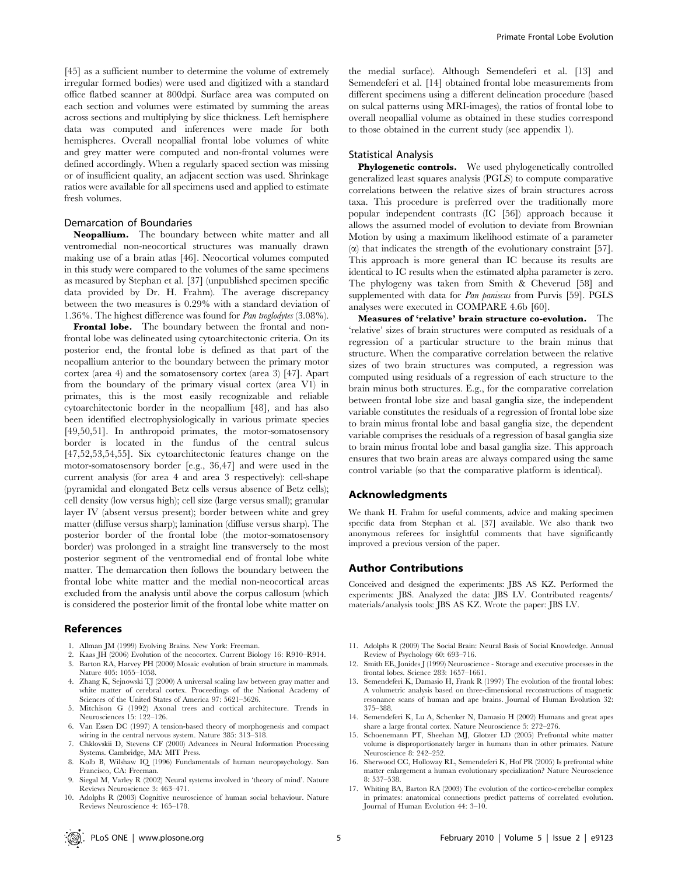[45] as a sufficient number to determine the volume of extremely irregular formed bodies) were used and digitized with a standard office flatbed scanner at 800dpi. Surface area was computed on each section and volumes were estimated by summing the areas across sections and multiplying by slice thickness. Left hemisphere data was computed and inferences were made for both hemispheres. Overall neopallial frontal lobe volumes of white and grey matter were computed and non-frontal volumes were defined accordingly. When a regularly spaced section was missing or of insufficient quality, an adjacent section was used. Shrinkage ratios were available for all specimens used and applied to estimate fresh volumes.

### Demarcation of Boundaries

Neopallium. The boundary between white matter and all ventromedial non-neocortical structures was manually drawn making use of a brain atlas [46]. Neocortical volumes computed in this study were compared to the volumes of the same specimens as measured by Stephan et al. [37] (unpublished specimen specific data provided by Dr. H. Frahm). The average discrepancy between the two measures is 0.29% with a standard deviation of 1.36%. The highest difference was found for Pan troglodytes (3.08%).

Frontal lobe. The boundary between the frontal and nonfrontal lobe was delineated using cytoarchitectonic criteria. On its posterior end, the frontal lobe is defined as that part of the neopallium anterior to the boundary between the primary motor cortex (area 4) and the somatosensory cortex (area 3) [47]. Apart from the boundary of the primary visual cortex (area V1) in primates, this is the most easily recognizable and reliable cytoarchitectonic border in the neopallium [48], and has also been identified electrophysiologically in various primate species [49,50,51]. In anthropoid primates, the motor-somatosensory border is located in the fundus of the central sulcus [47,52,53,54,55]. Six cytoarchitectonic features change on the motor-somatosensory border [e.g., 36,47] and were used in the current analysis (for area 4 and area 3 respectively): cell-shape (pyramidal and elongated Betz cells versus absence of Betz cells); cell density (low versus high); cell size (large versus small); granular layer IV (absent versus present); border between white and grey matter (diffuse versus sharp); lamination (diffuse versus sharp). The posterior border of the frontal lobe (the motor-somatosensory border) was prolonged in a straight line transversely to the most posterior segment of the ventromedial end of frontal lobe white matter. The demarcation then follows the boundary between the frontal lobe white matter and the medial non-neocortical areas excluded from the analysis until above the corpus callosum (which is considered the posterior limit of the frontal lobe white matter on

#### References

- 1. Allman JM (1999) Evolving Brains. New York: Freeman.
- 2. Kaas JH (2006) Evolution of the neocortex. Current Biology 16: R910–R914.
- 3. Barton RA, Harvey PH (2000) Mosaic evolution of brain structure in mammals. Nature 405: 1055–1058.
- 4. Zhang K, Sejnowski TJ (2000) A universal scaling law between gray matter and white matter of cerebral cortex. Proceedings of the National Academy of Sciences of the United States of America 97: 5621–5626.
- 5. Mitchison G (1992) Axonal trees and cortical architecture. Trends in Neurosciences 15: 122–126.
- 6. Van Essen DC (1997) A tension-based theory of morphogenesis and compact wiring in the central nervous system. Nature 385: 313–318.
- 7. Chklovskii D, Stevens CF (2000) Advances in Neural Information Processing Systems. Cambridge, MA: MIT Press.
- 8. Kolb B, Wilshaw IQ (1996) Fundamentals of human neuropsychology. San Francisco, CA: Freeman.
- 9. Siegal M, Varley R (2002) Neural systems involved in 'theory of mind'. Nature Reviews Neuroscience 3: 463–471.
- 10. Adolphs R (2003) Cognitive neuroscience of human social behaviour. Nature Reviews Neuroscience 4: 165–178.

the medial surface). Although Semendeferi et al. [13] and Semendeferi et al. [14] obtained frontal lobe measurements from different specimens using a different delineation procedure (based on sulcal patterns using MRI-images), the ratios of frontal lobe to overall neopallial volume as obtained in these studies correspond to those obtained in the current study (see appendix 1).

# Statistical Analysis

Phylogenetic controls. We used phylogenetically controlled generalized least squares analysis (PGLS) to compute comparative correlations between the relative sizes of brain structures across taxa. This procedure is preferred over the traditionally more popular independent contrasts (IC [56]) approach because it allows the assumed model of evolution to deviate from Brownian Motion by using a maximum likelihood estimate of a parameter  $(\alpha)$  that indicates the strength of the evolutionary constraint [57]. This approach is more general than IC because its results are identical to IC results when the estimated alpha parameter is zero. The phylogeny was taken from Smith & Cheverud [58] and supplemented with data for Pan paniscus from Purvis [59]. PGLS analyses were executed in COMPARE 4.6b [60].

Measures of 'relative' brain structure co-evolution. The 'relative' sizes of brain structures were computed as residuals of a regression of a particular structure to the brain minus that structure. When the comparative correlation between the relative sizes of two brain structures was computed, a regression was computed using residuals of a regression of each structure to the brain minus both structures. E.g., for the comparative correlation between frontal lobe size and basal ganglia size, the independent variable constitutes the residuals of a regression of frontal lobe size to brain minus frontal lobe and basal ganglia size, the dependent variable comprises the residuals of a regression of basal ganglia size to brain minus frontal lobe and basal ganglia size. This approach ensures that two brain areas are always compared using the same control variable (so that the comparative platform is identical).

#### Acknowledgments

We thank H. Frahm for useful comments, advice and making specimen specific data from Stephan et al. [37] available. We also thank two anonymous referees for insightful comments that have significantly improved a previous version of the paper.

#### Author Contributions

Conceived and designed the experiments: JBS AS KZ. Performed the experiments: JBS. Analyzed the data: JBS LV. Contributed reagents/ materials/analysis tools: JBS AS KZ. Wrote the paper: JBS LV.

- 11. Adolphs R (2009) The Social Brain: Neural Basis of Social Knowledge. Annual Review of Psychology 60: 693–716.
- 12. Smith EE, Jonides J (1999) Neuroscience Storage and executive processes in the frontal lobes. Science 283: 1657–1661.
- 13. Semendeferi K, Damasio H, Frank R (1997) The evolution of the frontal lobes: A volumetric analysis based on three-dimensional reconstructions of magnetic resonance scans of human and ape brains. Journal of Human Evolution 32: 375–388.
- 14. Semendeferi K, Lu A, Schenker N, Damasio H (2002) Humans and great apes share a large frontal cortex. Nature Neuroscience 5: 272–276.
- 15. Schoenemann PT, Sheehan MJ, Glotzer LD (2005) Prefrontal white matter volume is disproportionately larger in humans than in other primates. Nature Neuroscience 8: 242–252.
- 16. Sherwood CC, Holloway RL, Semendeferi K, Hof PR (2005) Is prefrontal white matter enlargement a human evolutionary specialization? Nature Neuroscience 8: 537–538.
- 17. Whiting BA, Barton RA (2003) The evolution of the cortico-cerebellar complex in primates: anatomical connections predict patterns of correlated evolution. Journal of Human Evolution 44: 3–10.